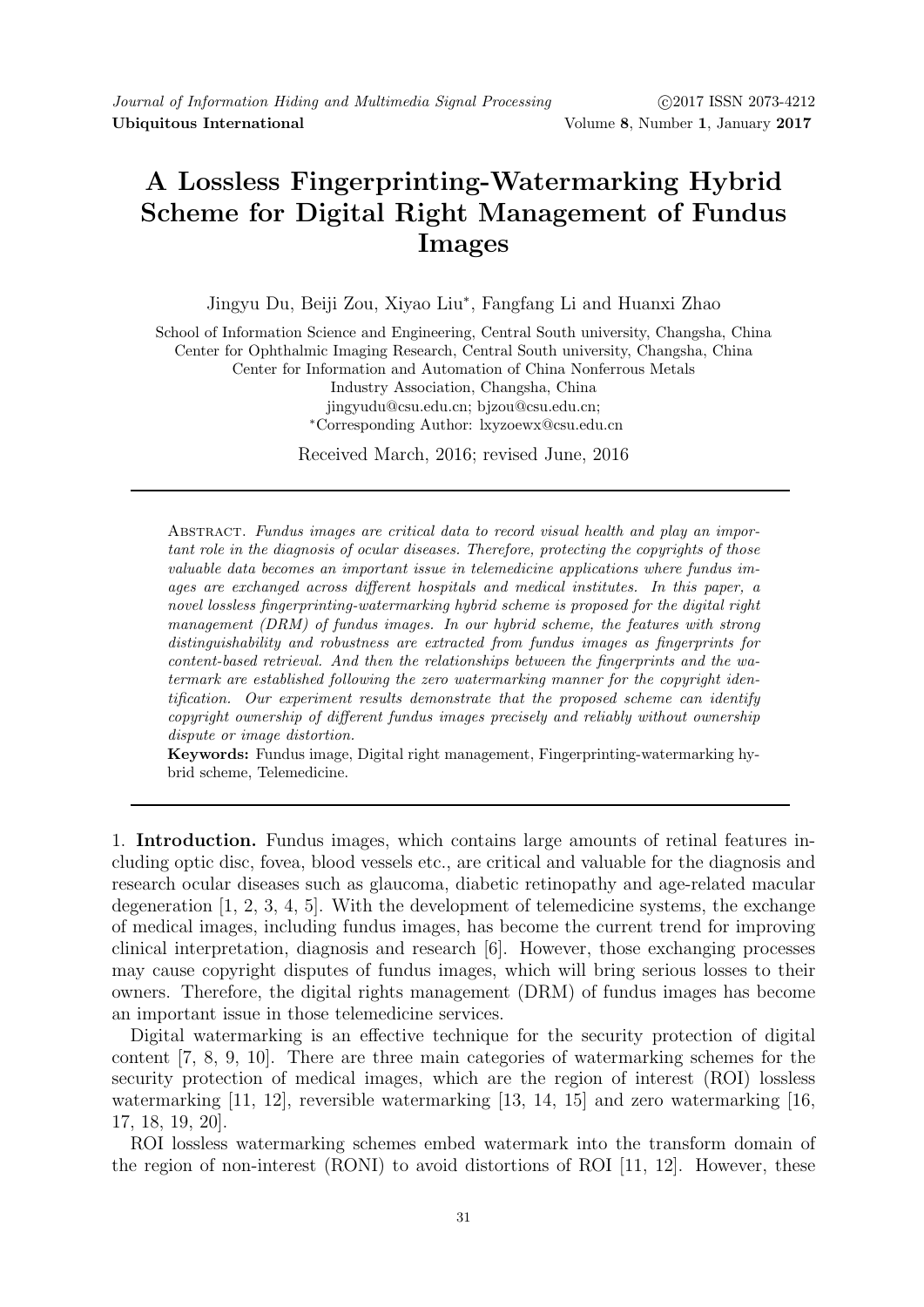## A Lossless Fingerprinting-Watermarking Hybrid Scheme for Digital Right Management of Fundus Images

Jingyu Du, Beiji Zou, Xiyao Liu<sup>∗</sup> , Fangfang Li and Huanxi Zhao

School of Information Science and Engineering, Central South university, Changsha, China Center for Ophthalmic Imaging Research, Central South university, Changsha, China Center for Information and Automation of China Nonferrous Metals Industry Association, Changsha, China jingyudu@csu.edu.cn; bjzou@csu.edu.cn; <sup>∗</sup>Corresponding Author: lxyzoewx@csu.edu.cn

Received March, 2016; revised June, 2016

Abstract. Fundus images are critical data to record visual health and play an important role in the diagnosis of ocular diseases. Therefore, protecting the copyrights of those valuable data becomes an important issue in telemedicine applications where fundus images are exchanged across different hospitals and medical institutes. In this paper, a novel lossless fingerprinting-watermarking hybrid scheme is proposed for the digital right management (DRM) of fundus images. In our hybrid scheme, the features with strong distinguishability and robustness are extracted from fundus images as fingerprints for content-based retrieval. And then the relationships between the fingerprints and the watermark are established following the zero watermarking manner for the copyright identification. Our experiment results demonstrate that the proposed scheme can identify copyright ownership of different fundus images precisely and reliably without ownership dispute or image distortion.

Keywords: Fundus image, Digital right management, Fingerprinting-watermarking hybrid scheme, Telemedicine.

1. Introduction. Fundus images, which contains large amounts of retinal features including optic disc, fovea, blood vessels etc., are critical and valuable for the diagnosis and research ocular diseases such as glaucoma, diabetic retinopathy and age-related macular degeneration [1, 2, 3, 4, 5]. With the development of telemedicine systems, the exchange of medical images, including fundus images, has become the current trend for improving clinical interpretation, diagnosis and research [6]. However, those exchanging processes may cause copyright disputes of fundus images, which will bring serious losses to their owners. Therefore, the digital rights management (DRM) of fundus images has become an important issue in those telemedicine services.

Digital watermarking is an effective technique for the security protection of digital content [7, 8, 9, 10]. There are three main categories of watermarking schemes for the security protection of medical images, which are the region of interest (ROI) lossless watermarking  $[11, 12]$ , reversible watermarking  $[13, 14, 15]$  and zero watermarking  $[16, 16]$ 17, 18, 19, 20].

ROI lossless watermarking schemes embed watermark into the transform domain of the region of non-interest (RONI) to avoid distortions of ROI [11, 12]. However, these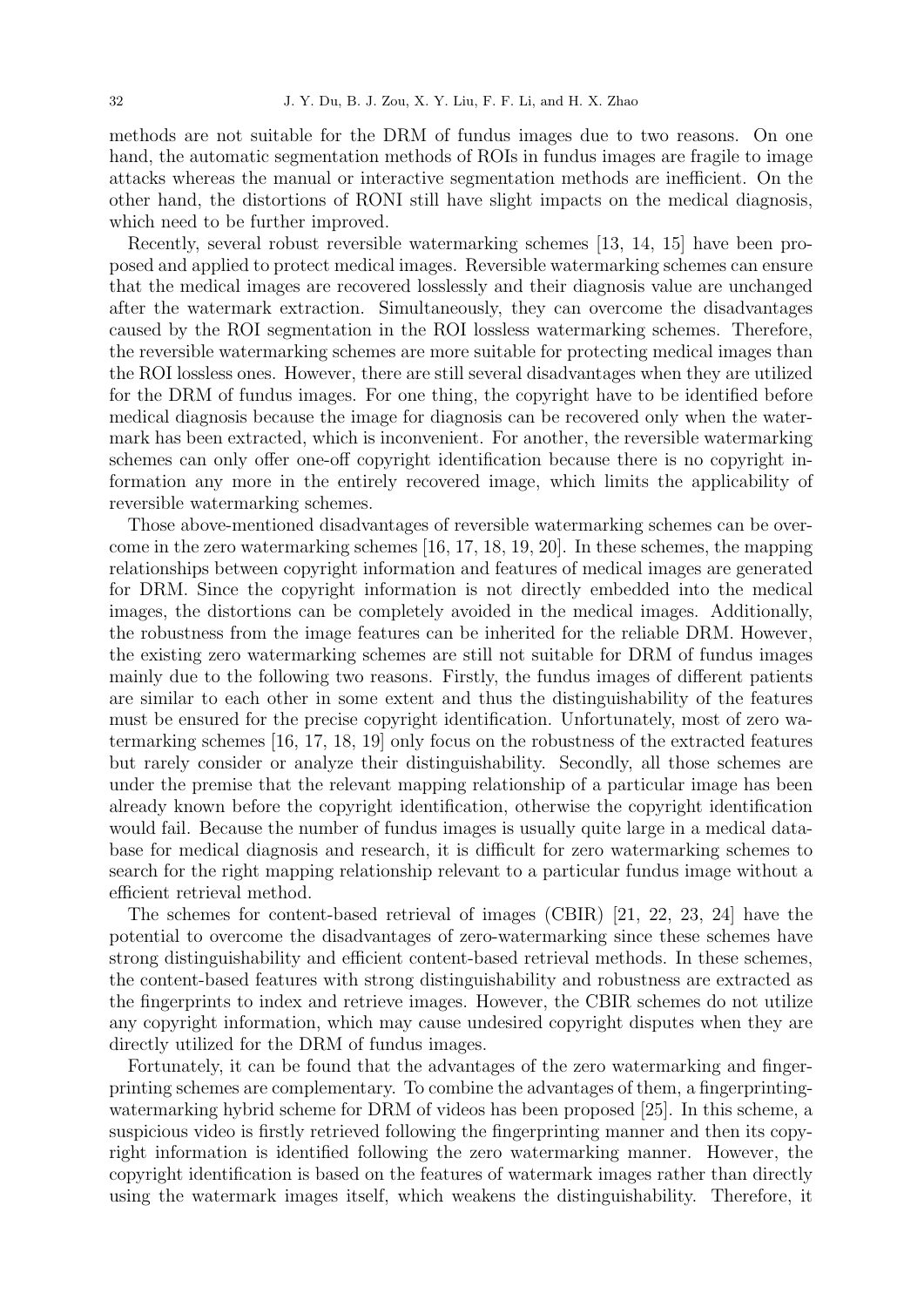methods are not suitable for the DRM of fundus images due to two reasons. On one hand, the automatic segmentation methods of ROIs in fundus images are fragile to image attacks whereas the manual or interactive segmentation methods are inefficient. On the other hand, the distortions of RONI still have slight impacts on the medical diagnosis, which need to be further improved.

Recently, several robust reversible watermarking schemes [13, 14, 15] have been proposed and applied to protect medical images. Reversible watermarking schemes can ensure that the medical images are recovered losslessly and their diagnosis value are unchanged after the watermark extraction. Simultaneously, they can overcome the disadvantages caused by the ROI segmentation in the ROI lossless watermarking schemes. Therefore, the reversible watermarking schemes are more suitable for protecting medical images than the ROI lossless ones. However, there are still several disadvantages when they are utilized for the DRM of fundus images. For one thing, the copyright have to be identified before medical diagnosis because the image for diagnosis can be recovered only when the watermark has been extracted, which is inconvenient. For another, the reversible watermarking schemes can only offer one-off copyright identification because there is no copyright information any more in the entirely recovered image, which limits the applicability of reversible watermarking schemes.

Those above-mentioned disadvantages of reversible watermarking schemes can be overcome in the zero watermarking schemes [16, 17, 18, 19, 20]. In these schemes, the mapping relationships between copyright information and features of medical images are generated for DRM. Since the copyright information is not directly embedded into the medical images, the distortions can be completely avoided in the medical images. Additionally, the robustness from the image features can be inherited for the reliable DRM. However, the existing zero watermarking schemes are still not suitable for DRM of fundus images mainly due to the following two reasons. Firstly, the fundus images of different patients are similar to each other in some extent and thus the distinguishability of the features must be ensured for the precise copyright identification. Unfortunately, most of zero watermarking schemes [16, 17, 18, 19] only focus on the robustness of the extracted features but rarely consider or analyze their distinguishability. Secondly, all those schemes are under the premise that the relevant mapping relationship of a particular image has been already known before the copyright identification, otherwise the copyright identification would fail. Because the number of fundus images is usually quite large in a medical database for medical diagnosis and research, it is difficult for zero watermarking schemes to search for the right mapping relationship relevant to a particular fundus image without a efficient retrieval method.

The schemes for content-based retrieval of images (CBIR) [21, 22, 23, 24] have the potential to overcome the disadvantages of zero-watermarking since these schemes have strong distinguishability and efficient content-based retrieval methods. In these schemes, the content-based features with strong distinguishability and robustness are extracted as the fingerprints to index and retrieve images. However, the CBIR schemes do not utilize any copyright information, which may cause undesired copyright disputes when they are directly utilized for the DRM of fundus images.

Fortunately, it can be found that the advantages of the zero watermarking and fingerprinting schemes are complementary. To combine the advantages of them, a fingerprintingwatermarking hybrid scheme for DRM of videos has been proposed [25]. In this scheme, a suspicious video is firstly retrieved following the fingerprinting manner and then its copyright information is identified following the zero watermarking manner. However, the copyright identification is based on the features of watermark images rather than directly using the watermark images itself, which weakens the distinguishability. Therefore, it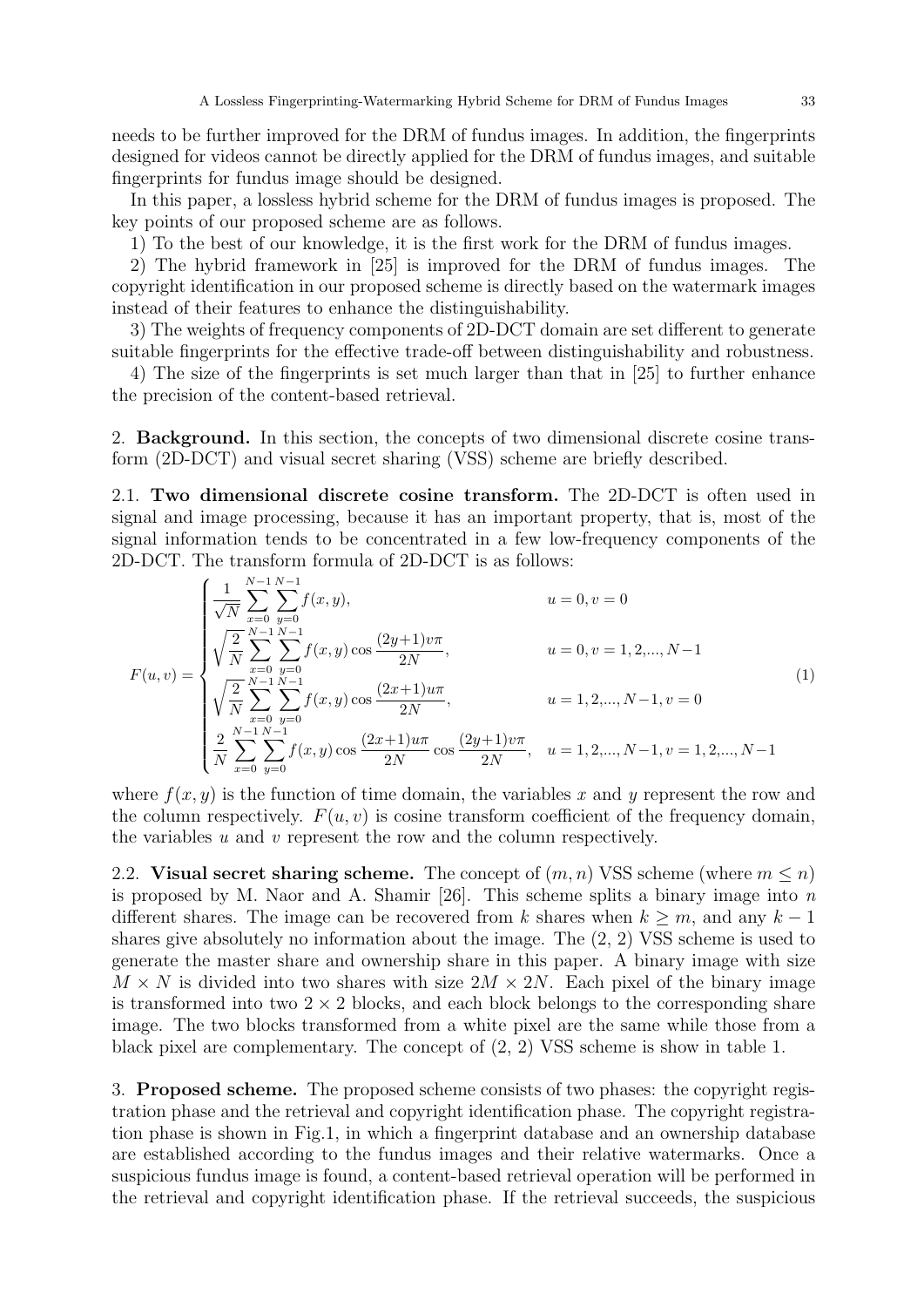needs to be further improved for the DRM of fundus images. In addition, the fingerprints designed for videos cannot be directly applied for the DRM of fundus images, and suitable fingerprints for fundus image should be designed.

In this paper, a lossless hybrid scheme for the DRM of fundus images is proposed. The key points of our proposed scheme are as follows.

1) To the best of our knowledge, it is the first work for the DRM of fundus images.

2) The hybrid framework in [25] is improved for the DRM of fundus images. The copyright identification in our proposed scheme is directly based on the watermark images instead of their features to enhance the distinguishability.

3) The weights of frequency components of 2D-DCT domain are set different to generate suitable fingerprints for the effective trade-off between distinguishability and robustness.

4) The size of the fingerprints is set much larger than that in [25] to further enhance the precision of the content-based retrieval.

2. Background. In this section, the concepts of two dimensional discrete cosine transform (2D-DCT) and visual secret sharing (VSS) scheme are briefly described.

2.1. Two dimensional discrete cosine transform. The 2D-DCT is often used in signal and image processing, because it has an important property, that is, most of the signal information tends to be concentrated in a few low-frequency components of the 2D-DCT. The transform formula of 2D-DCT is as follows:

$$
F(u,v) = \begin{cases} \frac{1}{\sqrt{N}} \sum_{x=0}^{N-1} \sum_{y=0}^{N-1} f(x,y), & u = 0, v = 0\\ \sqrt{\frac{2}{N}} \sum_{x=0}^{N-1} \sum_{y=0}^{N-1} f(x,y) \cos \frac{(2y+1)v\pi}{2N}, & u = 0, v = 1, 2, ..., N-1\\ \sqrt{\frac{2}{N}} \sum_{x=0}^{N-1} \sum_{y=0}^{N-1} f(x,y) \cos \frac{(2x+1)u\pi}{2N}, & u = 1, 2, ..., N-1, v = 0\\ \frac{2}{N} \sum_{x=0}^{N-1} \sum_{y=0}^{N-1} f(x,y) \cos \frac{(2x+1)u\pi}{2N} \cos \frac{(2y+1)v\pi}{2N}, & u = 1, 2, ..., N-1, v = 1, 2, ..., N-1 \end{cases}
$$
(1)

where  $f(x, y)$  is the function of time domain, the variables x and y represent the row and the column respectively.  $F(u, v)$  is cosine transform coefficient of the frequency domain, the variables u and v represent the row and the column respectively.

2.2. Visual secret sharing scheme. The concept of  $(m, n)$  VSS scheme (where  $m \leq n$ ) is proposed by M. Naor and A. Shamir [26]. This scheme splits a binary image into  $n$ different shares. The image can be recovered from k shares when  $k > m$ , and any  $k - 1$ shares give absolutely no information about the image. The (2, 2) VSS scheme is used to generate the master share and ownership share in this paper. A binary image with size  $M \times N$  is divided into two shares with size  $2M \times 2N$ . Each pixel of the binary image is transformed into two  $2 \times 2$  blocks, and each block belongs to the corresponding share image. The two blocks transformed from a white pixel are the same while those from a black pixel are complementary. The concept of  $(2, 2)$  VSS scheme is show in table 1.

3. Proposed scheme. The proposed scheme consists of two phases: the copyright registration phase and the retrieval and copyright identification phase. The copyright registration phase is shown in Fig.1, in which a fingerprint database and an ownership database are established according to the fundus images and their relative watermarks. Once a suspicious fundus image is found, a content-based retrieval operation will be performed in the retrieval and copyright identification phase. If the retrieval succeeds, the suspicious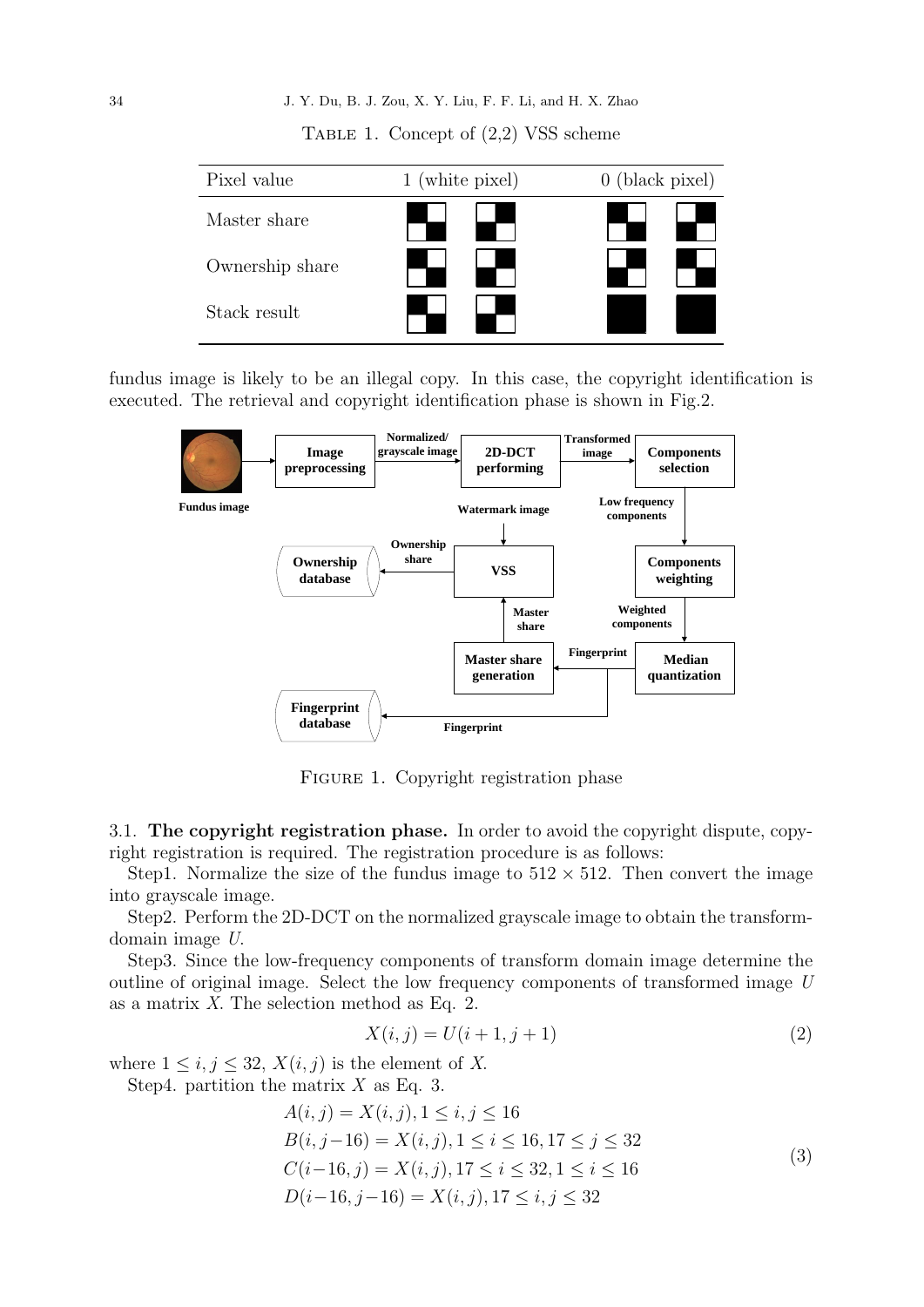Table 1. Concept of (2,2) VSS scheme



fundus image is likely to be an illegal copy. In this case, the copyright identification is executed. The retrieval and copyright identification phase is shown in Fig.2.



FIGURE 1. Copyright registration phase

3.1. The copyright registration phase. In order to avoid the copyright dispute, copyright registration is required. The registration procedure is as follows:

Step1. Normalize the size of the fundus image to  $512 \times 512$ . Then convert the image into grayscale image.

Step2. Perform the 2D-DCT on the normalized grayscale image to obtain the transformdomain image U.

Step3. Since the low-frequency components of transform domain image determine the outline of original image. Select the low frequency components of transformed image U as a matrix X. The selection method as Eq. 2.

$$
X(i,j) = U(i+1, j+1)
$$
 (2)

where  $1 \leq i, j \leq 32, X(i, j)$  is the element of X.

Step4. partition the matrix  $X$  as Eq. 3.

$$
A(i, j) = X(i, j), 1 \le i, j \le 16
$$
  
\n
$$
B(i, j-16) = X(i, j), 1 \le i \le 16, 17 \le j \le 32
$$
  
\n
$$
C(i-16, j) = X(i, j), 17 \le i \le 32, 1 \le i \le 16
$$
  
\n
$$
D(i-16, j-16) = X(i, j), 17 \le i, j \le 32
$$
\n(3)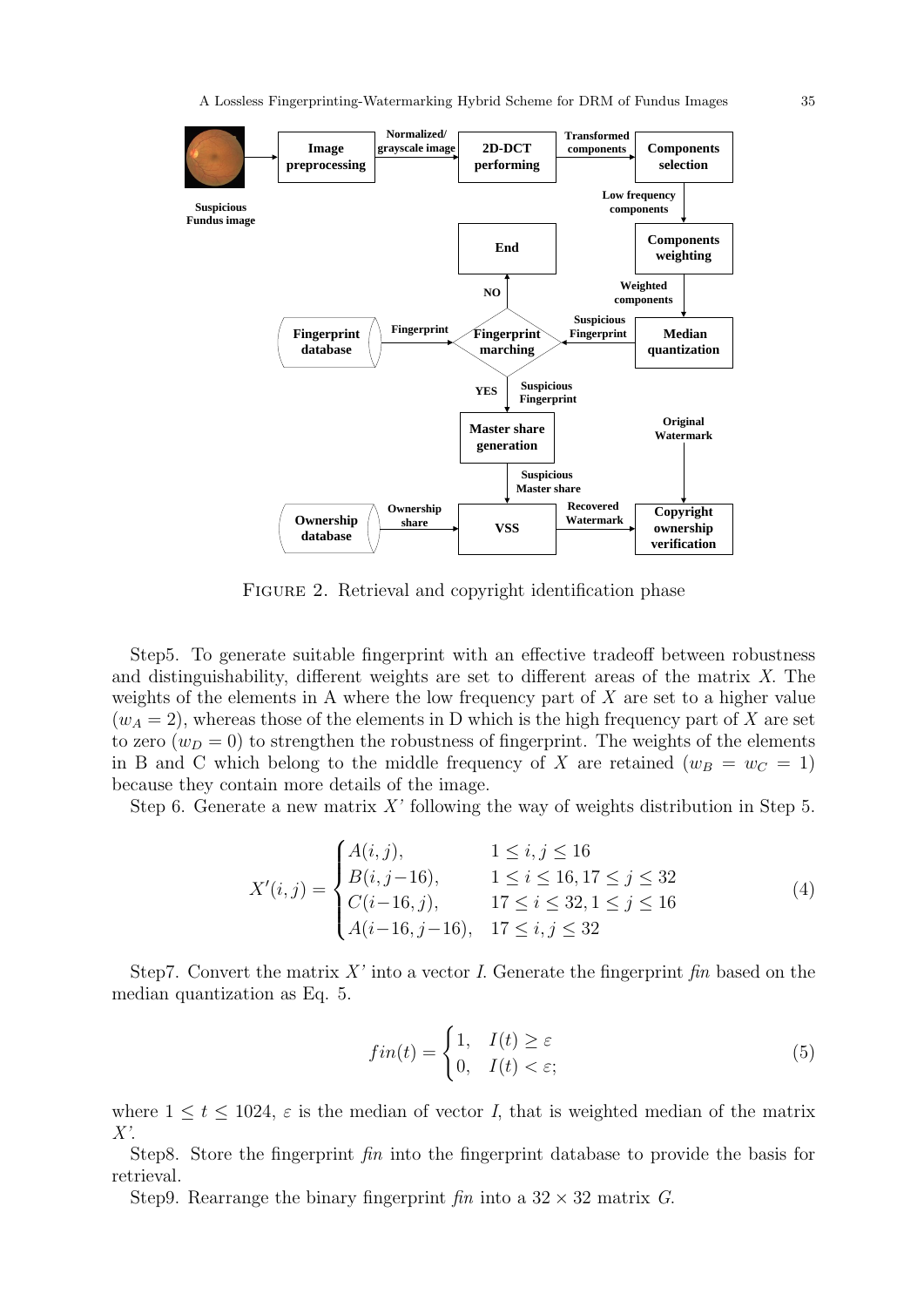A Lossless Fingerprinting-Watermarking Hybrid Scheme for DRM of Fundus Images 35



FIGURE 2. Retrieval and copyright identification phase

Step5. To generate suitable fingerprint with an effective tradeoff between robustness and distinguishability, different weights are set to different areas of the matrix X. The weights of the elements in A where the low frequency part of  $X$  are set to a higher value  $(w<sub>A</sub> = 2)$ , whereas those of the elements in D which is the high frequency part of X are set to zero  $(w_D = 0)$  to strengthen the robustness of fingerprint. The weights of the elements in B and C which belong to the middle frequency of X are retained  $(w_B = w_C = 1)$ because they contain more details of the image.

Step 6. Generate a new matrix X' following the way of weights distribution in Step 5.

$$
X'(i,j) = \begin{cases} A(i,j), & 1 \le i, j \le 16 \\ B(i,j-16), & 1 \le i \le 16, 17 \le j \le 32 \\ C(i-16,j), & 17 \le i \le 32, 1 \le j \le 16 \\ A(i-16,j-16), & 17 \le i, j \le 32 \end{cases}
$$
(4)

Step7. Convert the matrix X' into a vector I. Generate the fingerprint  $\hat{h}n$  based on the median quantization as Eq. 5.

$$
fin(t) = \begin{cases} 1, & I(t) \ge \varepsilon \\ 0, & I(t) < \varepsilon; \end{cases}
$$
(5)

where  $1 \le t \le 1024$ ,  $\varepsilon$  is the median of vector I, that is weighted median of the matrix  $X'$ .

Step8. Store the fingerprint fin into the fingerprint database to provide the basis for retrieval.

Step9. Rearrange the binary fingerprint fin into a  $32 \times 32$  matrix G.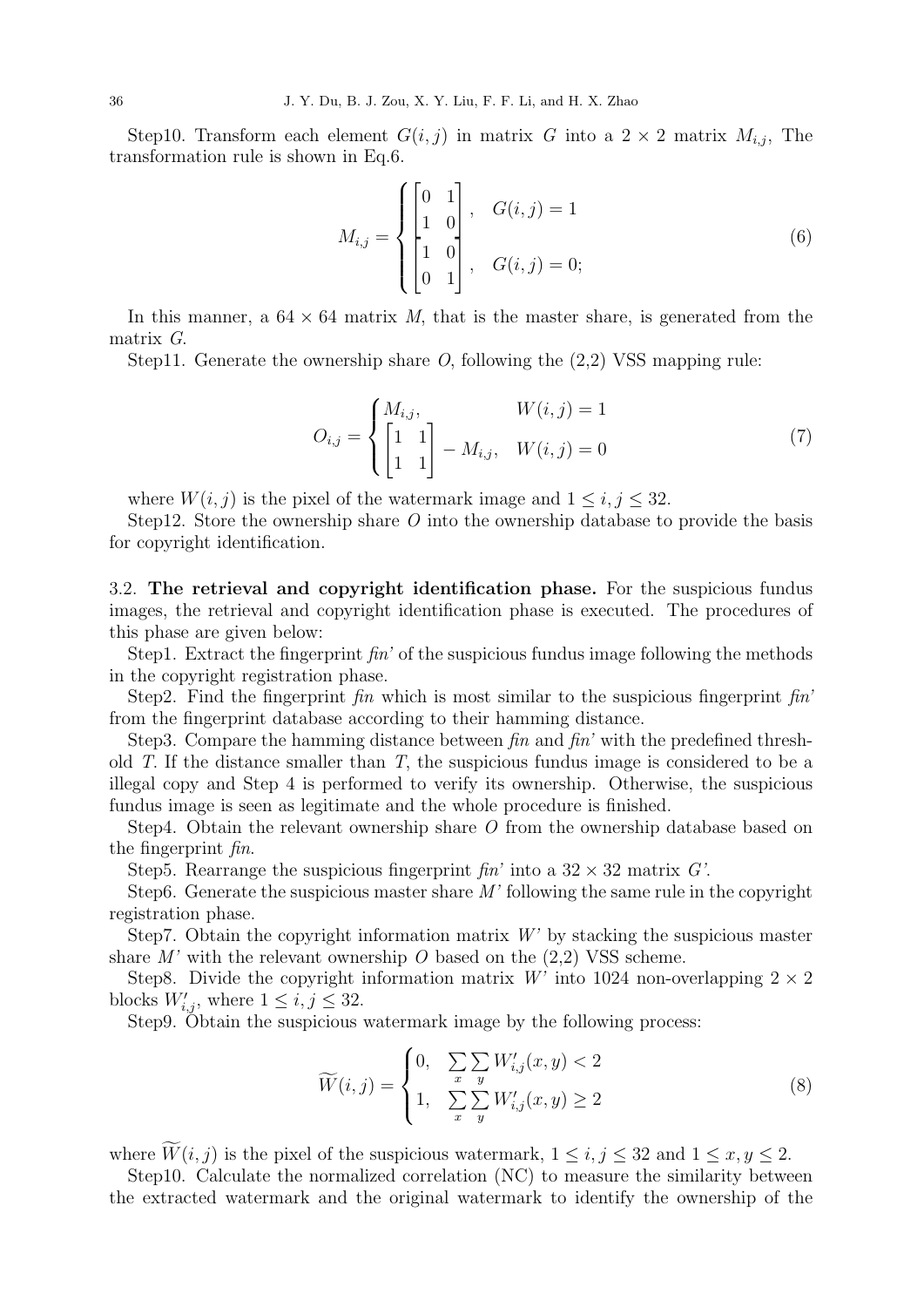Step10. Transform each element  $G(i, j)$  in matrix G into a  $2 \times 2$  matrix  $M_{i,j}$ , The transformation rule is shown in Eq.6.

$$
M_{i,j} = \begin{cases} \begin{bmatrix} 0 & 1 \\ 1 & 0 \end{bmatrix}, & G(i,j) = 1 \\ \begin{bmatrix} 1 & 0 \\ 0 & 1 \end{bmatrix}, & G(i,j) = 0; \end{cases}
$$
 (6)

In this manner, a  $64 \times 64$  matrix M, that is the master share, is generated from the matrix G.

Step11. Generate the ownership share  $O$ , following the  $(2,2)$  VSS mapping rule:

$$
O_{i,j} = \begin{cases} M_{i,j}, & W(i,j) = 1\\ \begin{bmatrix} 1 & 1\\ 1 & 1 \end{bmatrix} - M_{i,j}, & W(i,j) = 0 \end{cases}
$$
 (7)

where  $W(i, j)$  is the pixel of the watermark image and  $1 \leq i, j \leq 32$ .

Step12. Store the ownership share  $\hat{O}$  into the ownership database to provide the basis for copyright identification.

3.2. The retrieval and copyright identification phase. For the suspicious fundus images, the retrieval and copyright identification phase is executed. The procedures of this phase are given below:

Step1. Extract the fingerprint  $\hat{h}$  of the suspicious fundus image following the methods in the copyright registration phase.

Step2. Find the fingerprint  $\hat{f}_n$  which is most similar to the suspicious fingerprint  $\hat{f}_n$ from the fingerprint database according to their hamming distance.

Step3. Compare the hamming distance between  $\ell$  fin and  $\ell$  fin' with the predefined threshold  $T$ . If the distance smaller than  $T$ , the suspicious fundus image is considered to be a illegal copy and Step 4 is performed to verify its ownership. Otherwise, the suspicious fundus image is seen as legitimate and the whole procedure is finished.

Step4. Obtain the relevant ownership share O from the ownership database based on the fingerprint fin.

Step5. Rearrange the suspicious fingerprint  $\beta$  into a  $32 \times 32$  matrix G'.

Step6. Generate the suspicious master share  $M'$  following the same rule in the copyright registration phase.

Step7. Obtain the copyright information matrix  $W'$  by stacking the suspicious master share  $M'$  with the relevant ownership O based on the  $(2,2)$  VSS scheme.

Step8. Divide the copyright information matrix W' into 1024 non-overlapping  $2 \times 2$ blocks  $W'_{i,j}$ , where  $1 \leq i, j \leq 32$ .

Step9. Obtain the suspicious watermark image by the following process:

$$
\widetilde{W}(i,j) = \begin{cases} 0, & \sum_{x} \sum_{y} W'_{i,j}(x,y) < 2\\ 1, & \sum_{x} \sum_{y} W'_{i,j}(x,y) \ge 2 \end{cases} \tag{8}
$$

where  $\widetilde{W}(i, j)$  is the pixel of the suspicious watermark,  $1 \leq i, j \leq 32$  and  $1 \leq x, y \leq 2$ .

Step10. Calculate the normalized correlation (NC) to measure the similarity between the extracted watermark and the original watermark to identify the ownership of the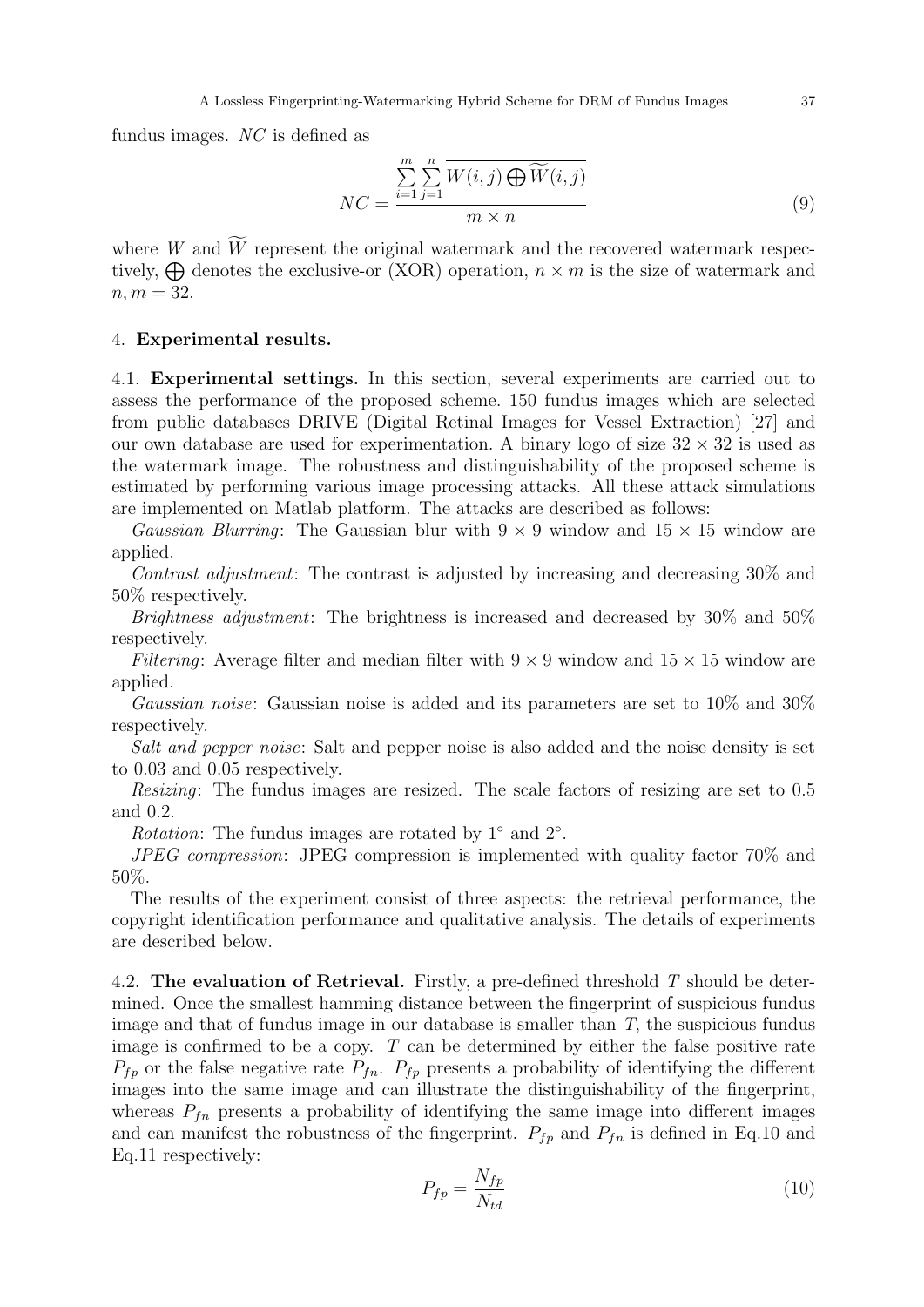fundus images. NC is defined as

$$
NC = \frac{\sum_{i=1}^{m} \sum_{j=1}^{n} \overline{W(i,j)} \bigoplus \widetilde{W}(i,j)}{m \times n}
$$
(9)

where W and  $\widetilde{W}$  represent the original watermark and the recovered watermark respectively,  $\bigoplus$  denotes the exclusive-or (XOR) operation,  $n \times m$  is the size of watermark and  $n, m = 32.$ 

## 4. Experimental results.

4.1. Experimental settings. In this section, several experiments are carried out to assess the performance of the proposed scheme. 150 fundus images which are selected from public databases DRIVE (Digital Retinal Images for Vessel Extraction) [27] and our own database are used for experimentation. A binary logo of size  $32 \times 32$  is used as the watermark image. The robustness and distinguishability of the proposed scheme is estimated by performing various image processing attacks. All these attack simulations are implemented on Matlab platform. The attacks are described as follows:

Gaussian Blurring: The Gaussian blur with  $9 \times 9$  window and  $15 \times 15$  window are applied.

Contrast adjustment: The contrast is adjusted by increasing and decreasing 30% and 50% respectively.

*Brightness adjustment*: The brightness is increased and decreased by  $30\%$  and  $50\%$ respectively.

Filtering: Average filter and median filter with  $9 \times 9$  window and  $15 \times 15$  window are applied.

Gaussian noise: Gaussian noise is added and its parameters are set to 10% and 30% respectively.

Salt and pepper noise: Salt and pepper noise is also added and the noise density is set to 0.03 and 0.05 respectively.

Resizing: The fundus images are resized. The scale factors of resizing are set to 0.5 and 0.2.

*Rotation*: The fundus images are rotated by  $1°$  and  $2°$ .

JPEG compression: JPEG compression is implemented with quality factor 70% and 50%.

The results of the experiment consist of three aspects: the retrieval performance, the copyright identification performance and qualitative analysis. The details of experiments are described below.

4.2. The evaluation of Retrieval. Firstly, a pre-defined threshold  $T$  should be determined. Once the smallest hamming distance between the fingerprint of suspicious fundus image and that of fundus image in our database is smaller than  $T$ , the suspicious fundus image is confirmed to be a copy.  $T$  can be determined by either the false positive rate  $P_{fp}$  or the false negative rate  $P_{fn}$ .  $P_{fp}$  presents a probability of identifying the different images into the same image and can illustrate the distinguishability of the fingerprint, whereas  $P_{fn}$  presents a probability of identifying the same image into different images and can manifest the robustness of the fingerprint.  $P_{fp}$  and  $P_{fn}$  is defined in Eq.10 and Eq.11 respectively:

$$
P_{fp} = \frac{N_{fp}}{N_{td}}\tag{10}
$$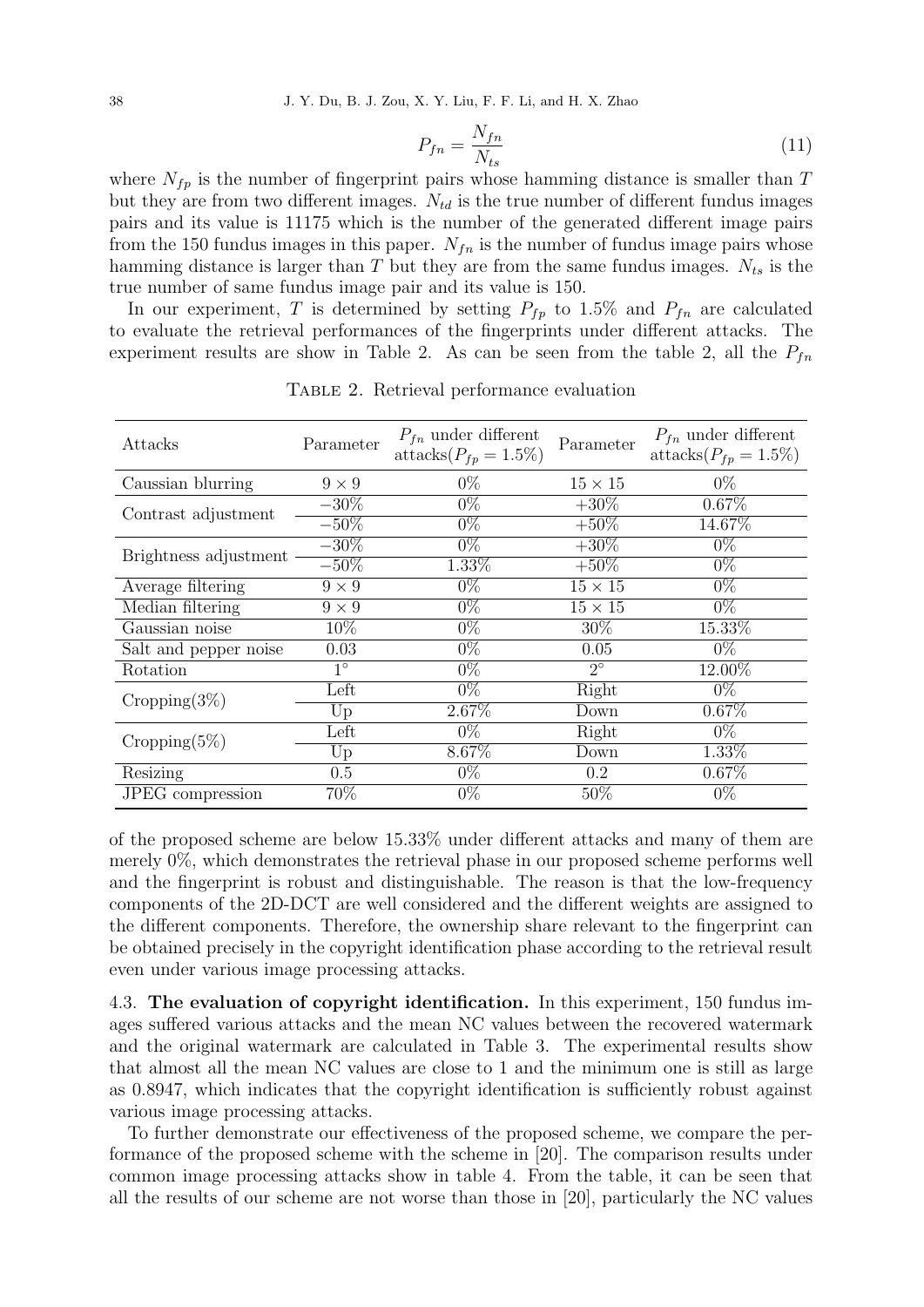$$
P_{fn} = \frac{N_{fn}}{N_{ts}}\tag{11}
$$

where  $N_{fp}$  is the number of fingerprint pairs whose hamming distance is smaller than T but they are from two different images.  $N_{td}$  is the true number of different fundus images pairs and its value is 11175 which is the number of the generated different image pairs from the 150 fundus images in this paper.  $N_{fn}$  is the number of fundus image pairs whose hamming distance is larger than T but they are from the same fundus images.  $N_{ts}$  is the true number of same fundus image pair and its value is 150.

In our experiment, T is determined by setting  $P_{fp}$  to 1.5% and  $P_{fn}$  are calculated to evaluate the retrieval performances of the fingerprints under different attacks. The experiment results are show in Table 2. As can be seen from the table 2, all the  $P_{fn}$ 

| Attacks               | Parameter    | $P_{fn}$ under different<br>attacks $(P_{fp} = 1.5\%)$ | Parameter      | $P_{fn}$ under different<br>attacks $(P_{fp} = 1.5\%)$ |
|-----------------------|--------------|--------------------------------------------------------|----------------|--------------------------------------------------------|
| Caussian blurring     | $9 \times 9$ | $0\%$                                                  | $15 \times 15$ | $0\%$                                                  |
| Contrast adjustment   | $-30\%$      | $0\%$                                                  | $+30\%$        | $0.67\%$                                               |
|                       | $-50\%$      | $0\%$                                                  | $+50\%$        | 14.67%                                                 |
| Brightness adjustment | $-30\%$      | $0\%$                                                  | $+30\%$        | $0\%$                                                  |
|                       | $-50\%$      | $1.33\%$                                               | $+50\%$        | $0\%$                                                  |
| Average filtering     | $9 \times 9$ | $0\%$                                                  | $15 \times 15$ | $0\%$                                                  |
| Median filtering      | $9 \times 9$ | $0\%$                                                  | $15 \times 15$ | $0\%$                                                  |
| Gaussian noise        | 10%          | $0\%$                                                  | $30\%$         | 15.33%                                                 |
| Salt and pepper noise | 0.03         | $0\%$                                                  | 0.05           | $0\%$                                                  |
| Rotation              | $1^{\circ}$  | $0\%$                                                  | $2^{\circ}$    | 12.00%                                                 |
| $Cropping(3\%)$       | Left         | $0\%$                                                  | Right          | $0\%$                                                  |
|                       | Up           | 2.67%                                                  | Down           | $0.67\%$                                               |
| $Cropping(5\%)$       | Left         | $0\%$                                                  | Right          | $0\%$                                                  |
|                       | Up           | $8.67\%$                                               | Down           | $1.33\%$                                               |
| Resizing              | 0.5          | $0\%$                                                  | $0.2\,$        | $0.67\%$                                               |
| JPEG compression      | 70%          | $0\%$                                                  | 50%            | $0\%$                                                  |
|                       |              |                                                        |                |                                                        |

Table 2. Retrieval performance evaluation

of the proposed scheme are below 15.33% under different attacks and many of them are merely 0%, which demonstrates the retrieval phase in our proposed scheme performs well and the fingerprint is robust and distinguishable. The reason is that the low-frequency components of the 2D-DCT are well considered and the different weights are assigned to the different components. Therefore, the ownership share relevant to the fingerprint can be obtained precisely in the copyright identification phase according to the retrieval result even under various image processing attacks.

4.3. The evaluation of copyright identification. In this experiment, 150 fundus images suffered various attacks and the mean NC values between the recovered watermark and the original watermark are calculated in Table 3. The experimental results show that almost all the mean NC values are close to 1 and the minimum one is still as large as 0.8947, which indicates that the copyright identification is sufficiently robust against various image processing attacks.

To further demonstrate our effectiveness of the proposed scheme, we compare the performance of the proposed scheme with the scheme in [20]. The comparison results under common image processing attacks show in table 4. From the table, it can be seen that all the results of our scheme are not worse than those in [20], particularly the NC values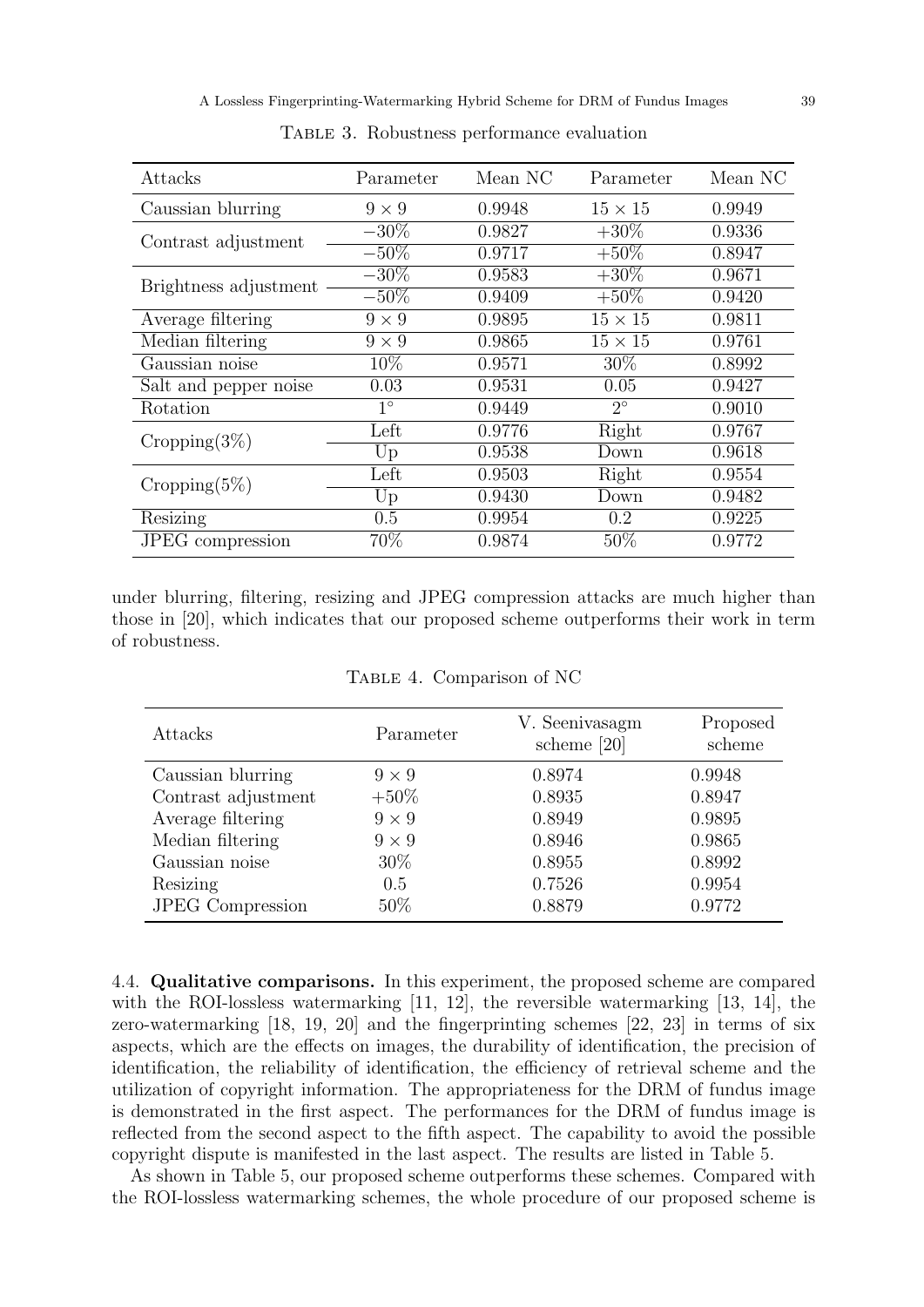| Attacks               | Parameter    | Mean NC | Parameter      | Mean NC |
|-----------------------|--------------|---------|----------------|---------|
| Caussian blurring     | $9 \times 9$ | 0.9948  | $15 \times 15$ | 0.9949  |
|                       | $-30\%$      | 0.9827  | $+30\%$        | 0.9336  |
| Contrast adjustment   | $-50\%$      | 0.9717  | $+50\%$        | 0.8947  |
| Brightness adjustment | $-30\%$      | 0.9583  | $+30\%$        | 0.9671  |
|                       | $-50\%$      | 0.9409  | $+50\%$        | 0.9420  |
| Average filtering     | $9 \times 9$ | 0.9895  | $15 \times 15$ | 0.9811  |
| Median filtering      | $9 \times 9$ | 0.9865  | $15 \times 15$ | 0.9761  |
| Gaussian noise        | 10%          | 0.9571  | $30\%$         | 0.8992  |
| Salt and pepper noise | 0.03         | 0.9531  | 0.05           | 0.9427  |
| Rotation              | $1^{\circ}$  | 0.9449  | $2^{\circ}$    | 0.9010  |
| $Cropping(3\%)$       | Left         | 0.9776  | Right          | 0.9767  |
|                       | Up           | 0.9538  | Down           | 0.9618  |
| $Cropping(5\%)$       | Left         | 0.9503  | Right          | 0.9554  |
|                       | Up           | 0.9430  | Down           | 0.9482  |
| Resizing              | 0.5          | 0.9954  | 0.2            | 0.9225  |
| JPEG compression      | 70%          | 0.9874  | 50%            | 0.9772  |

Table 3. Robustness performance evaluation

under blurring, filtering, resizing and JPEG compression attacks are much higher than those in [20], which indicates that our proposed scheme outperforms their work in term of robustness.

| Attacks                 | Parameter    | V. Seenivasagm<br>scheme $[20]$ | Proposed<br>scheme |
|-------------------------|--------------|---------------------------------|--------------------|
| Caussian blurring       | $9 \times 9$ | 0.8974                          | 0.9948             |
| Contrast adjustment     | $+50\%$      | 0.8935                          | 0.8947             |
| Average filtering       | $9 \times 9$ | 0.8949                          | 0.9895             |
| Median filtering        | $9 \times 9$ | 0.8946                          | 0.9865             |
| Gaussian noise          | $30\%$       | 0.8955                          | 0.8992             |
| Resizing                | 0.5          | 0.7526                          | 0.9954             |
| <b>JPEG</b> Compression | 50%          | 0.8879                          | 0.9772             |

Table 4. Comparison of NC

4.4. Qualitative comparisons. In this experiment, the proposed scheme are compared with the ROI-lossless watermarking  $[11, 12]$ , the reversible watermarking  $[13, 14]$ , the zero-watermarking [18, 19, 20] and the fingerprinting schemes [22, 23] in terms of six aspects, which are the effects on images, the durability of identification, the precision of identification, the reliability of identification, the efficiency of retrieval scheme and the utilization of copyright information. The appropriateness for the DRM of fundus image is demonstrated in the first aspect. The performances for the DRM of fundus image is reflected from the second aspect to the fifth aspect. The capability to avoid the possible copyright dispute is manifested in the last aspect. The results are listed in Table 5.

As shown in Table 5, our proposed scheme outperforms these schemes. Compared with the ROI-lossless watermarking schemes, the whole procedure of our proposed scheme is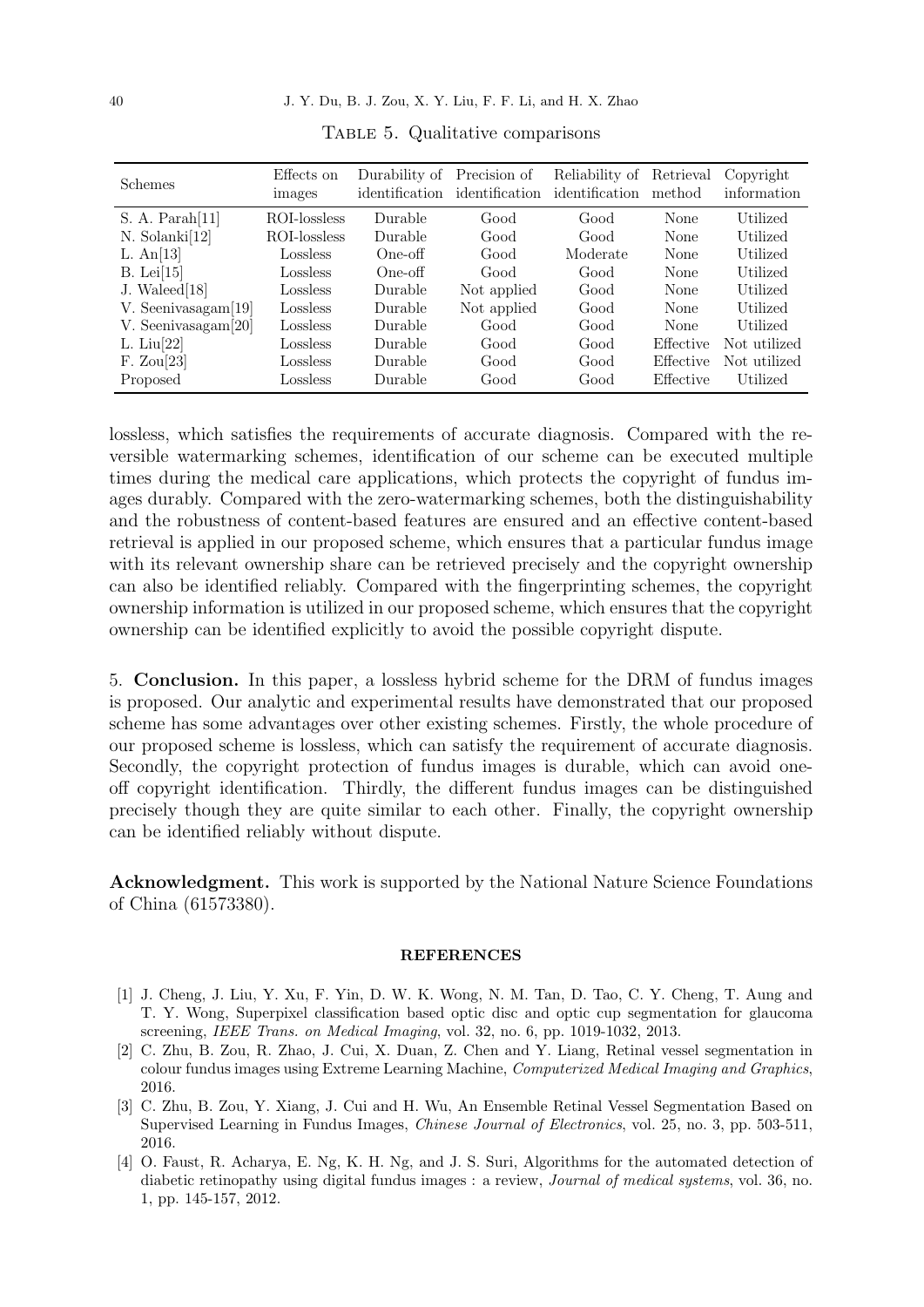| <b>Schemes</b>      | Effects on<br>images | Durability of Precision of<br>identification |             | Reliability of<br>identification identification | Retrieval<br>method | Copyright<br>information |
|---------------------|----------------------|----------------------------------------------|-------------|-------------------------------------------------|---------------------|--------------------------|
| S. A. Parah[11]     | ROI-lossless         | Durable                                      | Good        | Good                                            | None                | Utilized                 |
| $N.$ Solanki $[12]$ | ROI-lossless         | Durable                                      | Good        | Good                                            | None                | Utilized                 |
| L. $An[13]$         | Lossless             | One-off                                      | Good        | Moderate                                        | None                | Utilized                 |
| B. Lei[15]          | Lossless             | One-off                                      | Good        | Good                                            | None                | Utilized                 |
| J. Waleed[18]       | Lossless             | Durable                                      | Not applied | Good                                            | None                | Utilized                 |
| V. Seenivasagam[19] | Lossless             | Durable                                      | Not applied | Good                                            | None                | Utilized                 |
| V. Seenivasagam[20] | Lossless             | Durable                                      | Good        | Good                                            | None                | Utilized                 |
| L. $\text{Liu}[22]$ | Lossless             | Durable                                      | Good        | Good                                            | Effective           | Not utilized             |
| F. Zou[23]          | Lossless             | Durable                                      | Good        | Good                                            | Effective           | Not utilized             |
| Proposed            | Lossless             | Durable                                      | Good        | Good                                            | Effective           | Utilized                 |

TABLE 5. Qualitative comparisons

lossless, which satisfies the requirements of accurate diagnosis. Compared with the reversible watermarking schemes, identification of our scheme can be executed multiple times during the medical care applications, which protects the copyright of fundus images durably. Compared with the zero-watermarking schemes, both the distinguishability and the robustness of content-based features are ensured and an effective content-based retrieval is applied in our proposed scheme, which ensures that a particular fundus image with its relevant ownership share can be retrieved precisely and the copyright ownership can also be identified reliably. Compared with the fingerprinting schemes, the copyright ownership information is utilized in our proposed scheme, which ensures that the copyright ownership can be identified explicitly to avoid the possible copyright dispute.

5. Conclusion. In this paper, a lossless hybrid scheme for the DRM of fundus images is proposed. Our analytic and experimental results have demonstrated that our proposed scheme has some advantages over other existing schemes. Firstly, the whole procedure of our proposed scheme is lossless, which can satisfy the requirement of accurate diagnosis. Secondly, the copyright protection of fundus images is durable, which can avoid oneoff copyright identification. Thirdly, the different fundus images can be distinguished precisely though they are quite similar to each other. Finally, the copyright ownership can be identified reliably without dispute.

Acknowledgment. This work is supported by the National Nature Science Foundations of China (61573380).

## REFERENCES

- [1] J. Cheng, J. Liu, Y. Xu, F. Yin, D. W. K. Wong, N. M. Tan, D. Tao, C. Y. Cheng, T. Aung and T. Y. Wong, Superpixel classification based optic disc and optic cup segmentation for glaucoma screening, IEEE Trans. on Medical Imaging, vol. 32, no. 6, pp. 1019-1032, 2013.
- [2] C. Zhu, B. Zou, R. Zhao, J. Cui, X. Duan, Z. Chen and Y. Liang, Retinal vessel segmentation in colour fundus images using Extreme Learning Machine, Computerized Medical Imaging and Graphics, 2016.
- [3] C. Zhu, B. Zou, Y. Xiang, J. Cui and H. Wu, An Ensemble Retinal Vessel Segmentation Based on Supervised Learning in Fundus Images, Chinese Journal of Electronics, vol. 25, no. 3, pp. 503-511, 2016.
- [4] O. Faust, R. Acharya, E. Ng, K. H. Ng, and J. S. Suri, Algorithms for the automated detection of diabetic retinopathy using digital fundus images : a review, Journal of medical systems, vol. 36, no. 1, pp. 145-157, 2012.